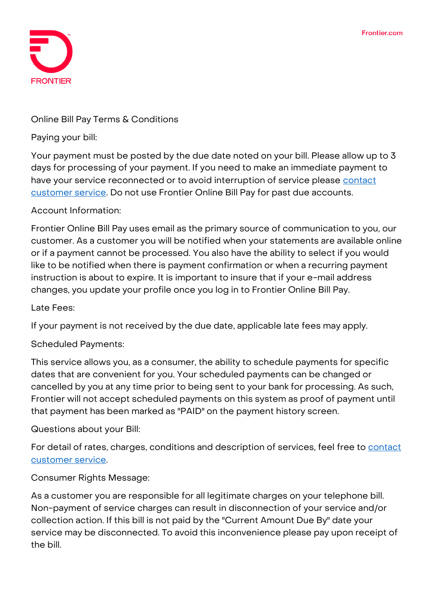

### **Online Bill Pay Terms & Conditions**

**Paying your bill:**

Your payment must be posted by the due date noted on your bill. Please allow up to 3 days for processing of your payment. If you need to make an immediate payment to have your service reconnected or to avoid interruption of service please contact [customer service.](https://frontier.com/contact-us#/residential) Do not use Frontier Online Bill Pay for past due accounts.

### **Account Information:**

Frontier Online Bill Pay uses email as the primary source of communication to you, our customer. As a customer you will be notified when your statements are available online or if a payment cannot be processed. You also have the ability to select if you would like to be notified when there is payment confirmation or when a recurring payment instruction is about to expire. It is important to insure that if your e-mail address changes, you update your profile once you log in to Frontier Online Bill Pay.

### **Late Fees:**

If your payment is not received by the due date, applicable late fees may apply.

# **Scheduled Payments:**

This service allows you, as a consumer, the ability to schedule payments for specific dates that are convenient for you. Your scheduled payments can be changed or cancelled by you at any time prior to being sent to your bank for processing. As such, Frontier will not accept scheduled payments on this system as proof of payment until that payment has been marked as "PAID" on the payment history screen.

# **Questions about your Bill:**

For detail of rates, charges, conditions and description of services, feel free to **contact** [customer service.](https://frontier.com/contact-us#/residential)

# **Consumer Rights Message:**

As a customer you are responsible for all legitimate charges on your telephone bill. Non-payment of service charges can result in disconnection of your service and/or collection action. If this bill is not paid by the "Current Amount Due By" date your service may be disconnected. To avoid this inconvenience please pay upon receipt of the bill.